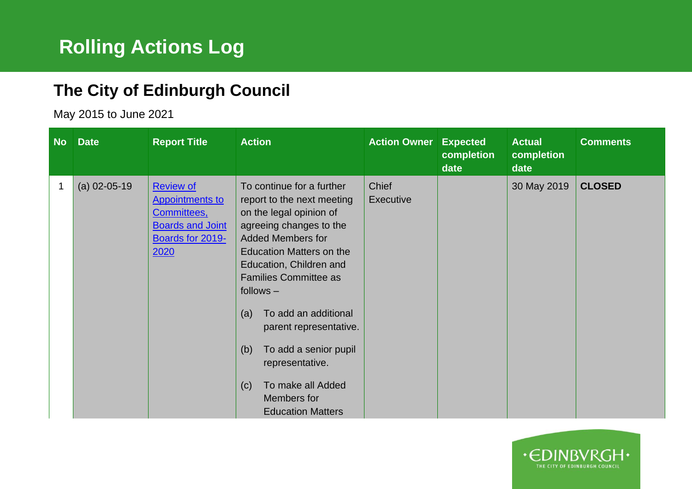## **The City of Edinburgh Council**

May 2015 to June 2021

|   | No Date        | <b>Report Title</b>                                                                                              | <b>Action</b>                                                                                                                                                                                                                                                                                                                                                                                                                             | <b>Action Owner</b>       | <b>Expected</b><br>completion<br>date | <b>Actual</b><br>completion<br>date | <b>Comments</b> |
|---|----------------|------------------------------------------------------------------------------------------------------------------|-------------------------------------------------------------------------------------------------------------------------------------------------------------------------------------------------------------------------------------------------------------------------------------------------------------------------------------------------------------------------------------------------------------------------------------------|---------------------------|---------------------------------------|-------------------------------------|-----------------|
| 1 | $(a)$ 02-05-19 | <b>Review of</b><br><b>Appointments to</b><br>Committees,<br><b>Boards and Joint</b><br>Boards for 2019-<br>2020 | To continue for a further<br>report to the next meeting<br>on the legal opinion of<br>agreeing changes to the<br><b>Added Members for</b><br><b>Education Matters on the</b><br>Education, Children and<br><b>Families Committee as</b><br>$follows -$<br>To add an additional<br>(a)<br>parent representative.<br>To add a senior pupil<br>(b)<br>representative.<br>To make all Added<br>(c)<br>Members for<br><b>Education Matters</b> | <b>Chief</b><br>Executive |                                       | 30 May 2019                         | <b>CLOSED</b>   |

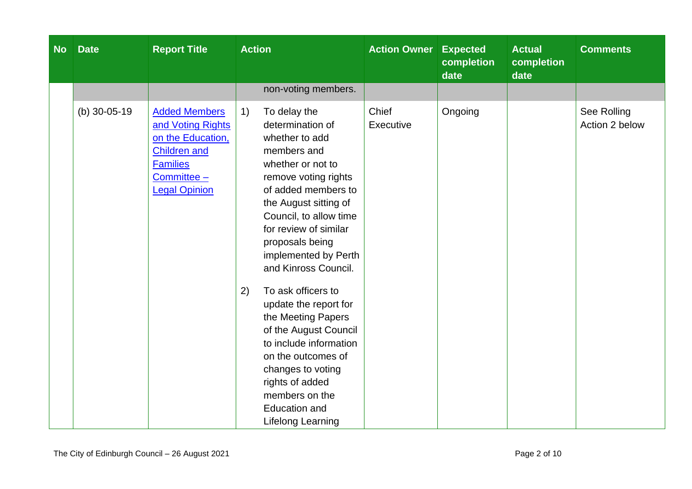| <b>Date</b>        | <b>Report Title</b>                                                                                                                             | <b>Action</b>                                                                                                                                                                                                                                                                                                                                                                                                                                                                                                                    |                          | <b>Expected</b><br>completion<br>date | <b>Actual</b><br>completion<br>date | <b>Comments</b>               |
|--------------------|-------------------------------------------------------------------------------------------------------------------------------------------------|----------------------------------------------------------------------------------------------------------------------------------------------------------------------------------------------------------------------------------------------------------------------------------------------------------------------------------------------------------------------------------------------------------------------------------------------------------------------------------------------------------------------------------|--------------------------|---------------------------------------|-------------------------------------|-------------------------------|
|                    |                                                                                                                                                 | non-voting members.                                                                                                                                                                                                                                                                                                                                                                                                                                                                                                              |                          |                                       |                                     |                               |
| (b) $30 - 05 - 19$ | <b>Added Members</b><br>and Voting Rights<br>on the Education,<br><b>Children and</b><br><b>Families</b><br>Committee -<br><b>Legal Opinion</b> | To delay the<br>1)<br>determination of<br>whether to add<br>members and<br>whether or not to<br>remove voting rights<br>of added members to<br>the August sitting of<br>Council, to allow time<br>for review of similar<br>proposals being<br>implemented by Perth<br>and Kinross Council.<br>To ask officers to<br>2)<br>update the report for<br>the Meeting Papers<br>of the August Council<br>to include information<br>on the outcomes of<br>changes to voting<br>rights of added<br>members on the<br><b>Education and</b> | Chief<br>Executive       | Ongoing                               |                                     | See Rolling<br>Action 2 below |
|                    |                                                                                                                                                 |                                                                                                                                                                                                                                                                                                                                                                                                                                                                                                                                  | <b>Lifelong Learning</b> |                                       | <b>Action Owner</b>                 |                               |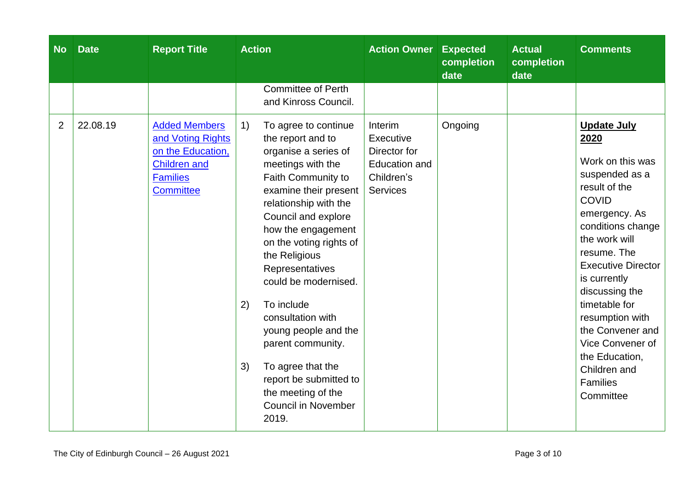| <b>No</b>      | <b>Date</b> | <b>Report Title</b>                                                                                                          | <b>Action</b>                                                                                                                                                                                                                                                                                                                                                                                                                                                                                                    | <b>Action Owner Expected</b>                                                                  | completion<br>date | <b>Actual</b><br>completion<br>date | <b>Comments</b>                                                                                                                                                                                                                                                                                                                                                               |
|----------------|-------------|------------------------------------------------------------------------------------------------------------------------------|------------------------------------------------------------------------------------------------------------------------------------------------------------------------------------------------------------------------------------------------------------------------------------------------------------------------------------------------------------------------------------------------------------------------------------------------------------------------------------------------------------------|-----------------------------------------------------------------------------------------------|--------------------|-------------------------------------|-------------------------------------------------------------------------------------------------------------------------------------------------------------------------------------------------------------------------------------------------------------------------------------------------------------------------------------------------------------------------------|
|                |             |                                                                                                                              | <b>Committee of Perth</b><br>and Kinross Council.                                                                                                                                                                                                                                                                                                                                                                                                                                                                |                                                                                               |                    |                                     |                                                                                                                                                                                                                                                                                                                                                                               |
| $\overline{2}$ | 22.08.19    | <b>Added Members</b><br>and Voting Rights<br>on the Education,<br><b>Children and</b><br><b>Families</b><br><b>Committee</b> | 1)<br>To agree to continue<br>the report and to<br>organise a series of<br>meetings with the<br>Faith Community to<br>examine their present<br>relationship with the<br>Council and explore<br>how the engagement<br>on the voting rights of<br>the Religious<br>Representatives<br>could be modernised.<br>To include<br>2)<br>consultation with<br>young people and the<br>parent community.<br>To agree that the<br>3)<br>report be submitted to<br>the meeting of the<br><b>Council in November</b><br>2019. | Interim<br>Executive<br>Director for<br><b>Education and</b><br>Children's<br><b>Services</b> | Ongoing            |                                     | <b>Update July</b><br>2020<br>Work on this was<br>suspended as a<br>result of the<br><b>COVID</b><br>emergency. As<br>conditions change<br>the work will<br>resume. The<br><b>Executive Director</b><br>is currently<br>discussing the<br>timetable for<br>resumption with<br>the Convener and<br>Vice Convener of<br>the Education,<br>Children and<br>Families<br>Committee |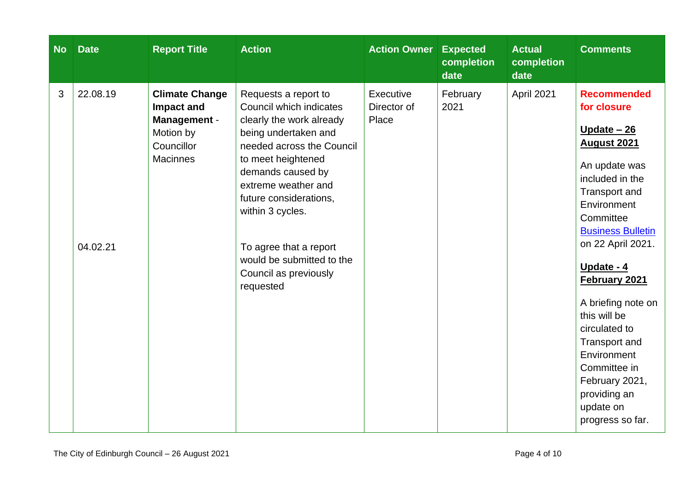| <b>No</b> | <b>Date</b>          | <b>Report Title</b>                                                                               | <b>Action</b>                                                                                                                                                                                                                                                                                                                                 | <b>Action Owner</b>               | <b>Expected</b><br>completion<br>date | <b>Actual</b><br>completion<br>date | <b>Comments</b>                                                                                                                                                                                                                                                                                                                                                                                                    |
|-----------|----------------------|---------------------------------------------------------------------------------------------------|-----------------------------------------------------------------------------------------------------------------------------------------------------------------------------------------------------------------------------------------------------------------------------------------------------------------------------------------------|-----------------------------------|---------------------------------------|-------------------------------------|--------------------------------------------------------------------------------------------------------------------------------------------------------------------------------------------------------------------------------------------------------------------------------------------------------------------------------------------------------------------------------------------------------------------|
| 3         | 22.08.19<br>04.02.21 | <b>Climate Change</b><br>Impact and<br>Management -<br>Motion by<br>Councillor<br><b>Macinnes</b> | Requests a report to<br>Council which indicates<br>clearly the work already<br>being undertaken and<br>needed across the Council<br>to meet heightened<br>demands caused by<br>extreme weather and<br>future considerations,<br>within 3 cycles.<br>To agree that a report<br>would be submitted to the<br>Council as previously<br>requested | Executive<br>Director of<br>Place | February<br>2021                      | April 2021                          | <b>Recommended</b><br>for closure<br>Update $-26$<br><b>August 2021</b><br>An update was<br>included in the<br>Transport and<br>Environment<br>Committee<br><b>Business Bulletin</b><br>on 22 April 2021.<br>Update - 4<br>February 2021<br>A briefing note on<br>this will be<br>circulated to<br>Transport and<br>Environment<br>Committee in<br>February 2021,<br>providing an<br>update on<br>progress so far. |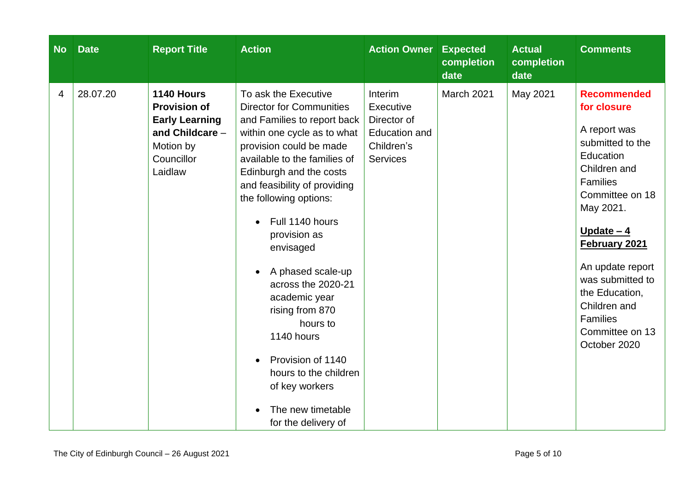| <b>No</b> | <b>Date</b> | <b>Report Title</b>                                                                                                 | <b>Action</b>                                                                                                                                                                                                                                                                                                                                                                                                                                                                                                                              | <b>Action Owner Expected</b>                                                                 | completion<br>date | <b>Actual</b><br>completion<br>date | <b>Comments</b>                                                                                                                                                                                                                                                                                                |
|-----------|-------------|---------------------------------------------------------------------------------------------------------------------|--------------------------------------------------------------------------------------------------------------------------------------------------------------------------------------------------------------------------------------------------------------------------------------------------------------------------------------------------------------------------------------------------------------------------------------------------------------------------------------------------------------------------------------------|----------------------------------------------------------------------------------------------|--------------------|-------------------------------------|----------------------------------------------------------------------------------------------------------------------------------------------------------------------------------------------------------------------------------------------------------------------------------------------------------------|
| 4         | 28.07.20    | 1140 Hours<br><b>Provision of</b><br><b>Early Learning</b><br>and Childcare -<br>Motion by<br>Councillor<br>Laidlaw | To ask the Executive<br><b>Director for Communities</b><br>and Families to report back<br>within one cycle as to what<br>provision could be made<br>available to the families of<br>Edinburgh and the costs<br>and feasibility of providing<br>the following options:<br>Full 1140 hours<br>provision as<br>envisaged<br>A phased scale-up<br>across the 2020-21<br>academic year<br>rising from 870<br>hours to<br>1140 hours<br>Provision of 1140<br>hours to the children<br>of key workers<br>The new timetable<br>for the delivery of | Interim<br>Executive<br>Director of<br><b>Education and</b><br>Children's<br><b>Services</b> | March 2021         | May 2021                            | <b>Recommended</b><br>for closure<br>A report was<br>submitted to the<br>Education<br>Children and<br>Families<br>Committee on 18<br>May 2021.<br>Update $-4$<br>February 2021<br>An update report<br>was submitted to<br>the Education,<br>Children and<br><b>Families</b><br>Committee on 13<br>October 2020 |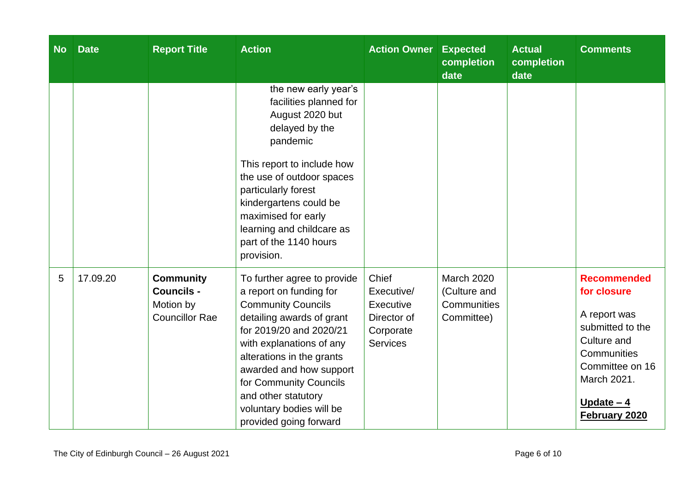| <b>No</b> | <b>Date</b> | <b>Report Title</b>                                                         | <b>Action</b>                                                                                                                                                                                                                                                                                                                          | <b>Action Owner</b>                                                             | <b>Expected</b><br>completion<br>date                   | <b>Actual</b><br>completion<br>date | <b>Comments</b>                                                                                                                                                       |
|-----------|-------------|-----------------------------------------------------------------------------|----------------------------------------------------------------------------------------------------------------------------------------------------------------------------------------------------------------------------------------------------------------------------------------------------------------------------------------|---------------------------------------------------------------------------------|---------------------------------------------------------|-------------------------------------|-----------------------------------------------------------------------------------------------------------------------------------------------------------------------|
|           |             |                                                                             | the new early year's<br>facilities planned for<br>August 2020 but<br>delayed by the<br>pandemic<br>This report to include how<br>the use of outdoor spaces<br>particularly forest<br>kindergartens could be<br>maximised for early<br>learning and childcare as<br>part of the 1140 hours<br>provision.                                |                                                                                 |                                                         |                                     |                                                                                                                                                                       |
| 5         | 17.09.20    | <b>Community</b><br><b>Councils -</b><br>Motion by<br><b>Councillor Rae</b> | To further agree to provide<br>a report on funding for<br><b>Community Councils</b><br>detailing awards of grant<br>for 2019/20 and 2020/21<br>with explanations of any<br>alterations in the grants<br>awarded and how support<br>for Community Councils<br>and other statutory<br>voluntary bodies will be<br>provided going forward | Chief<br>Executive/<br>Executive<br>Director of<br>Corporate<br><b>Services</b> | March 2020<br>(Culture and<br>Communities<br>Committee) |                                     | <b>Recommended</b><br>for closure<br>A report was<br>submitted to the<br>Culture and<br>Communities<br>Committee on 16<br>March 2021.<br>Update $-4$<br>February 2020 |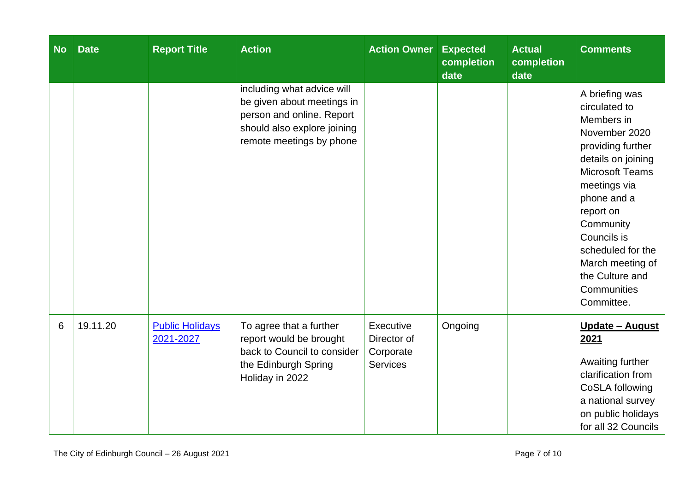| <b>No</b> | <b>Date</b> | <b>Report Title</b>                 | <b>Action</b>                                                                                                                                    | <b>Action Owner</b>                                      | <b>Expected</b><br>completion<br>date | <b>Actual</b><br>completion<br>date | <b>Comments</b>                                                                                                                                                                                                                                                                                      |
|-----------|-------------|-------------------------------------|--------------------------------------------------------------------------------------------------------------------------------------------------|----------------------------------------------------------|---------------------------------------|-------------------------------------|------------------------------------------------------------------------------------------------------------------------------------------------------------------------------------------------------------------------------------------------------------------------------------------------------|
|           |             |                                     | including what advice will<br>be given about meetings in<br>person and online. Report<br>should also explore joining<br>remote meetings by phone |                                                          |                                       |                                     | A briefing was<br>circulated to<br>Members in<br>November 2020<br>providing further<br>details on joining<br><b>Microsoft Teams</b><br>meetings via<br>phone and a<br>report on<br>Community<br>Councils is<br>scheduled for the<br>March meeting of<br>the Culture and<br>Communities<br>Committee. |
| 6         | 19.11.20    | <b>Public Holidays</b><br>2021-2027 | To agree that a further<br>report would be brought<br>back to Council to consider<br>the Edinburgh Spring<br>Holiday in 2022                     | Executive<br>Director of<br>Corporate<br><b>Services</b> | Ongoing                               |                                     | <u><b>Update - August</b></u><br>2021<br>Awaiting further<br>clarification from<br>CoSLA following<br>a national survey<br>on public holidays<br>for all 32 Councils                                                                                                                                 |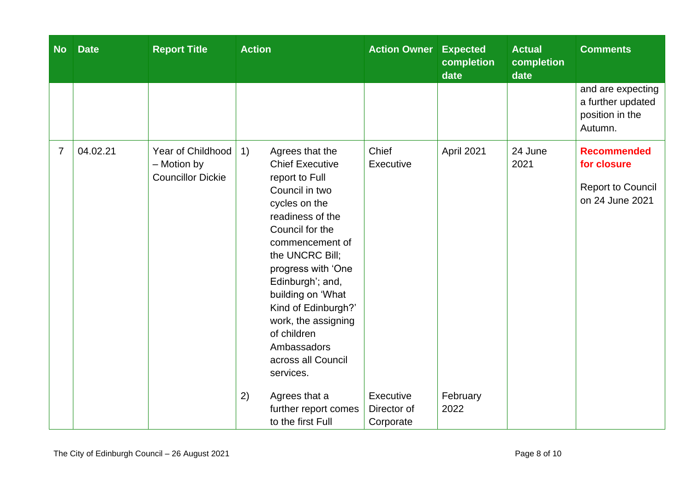| <b>No</b>      | <b>Date</b> | <b>Report Title</b>                                          | <b>Action</b>                                                                                                                                                                                                                                                                                                                                                                                                  | <b>Action Owner</b>                            | <b>Expected</b><br>completion<br>date | <b>Actual</b><br>completion<br>date | <b>Comments</b>                                                                  |
|----------------|-------------|--------------------------------------------------------------|----------------------------------------------------------------------------------------------------------------------------------------------------------------------------------------------------------------------------------------------------------------------------------------------------------------------------------------------------------------------------------------------------------------|------------------------------------------------|---------------------------------------|-------------------------------------|----------------------------------------------------------------------------------|
|                |             |                                                              |                                                                                                                                                                                                                                                                                                                                                                                                                |                                                |                                       |                                     | and are expecting<br>a further updated<br>position in the<br>Autumn.             |
| $\overline{7}$ | 04.02.21    | Year of Childhood<br>- Motion by<br><b>Councillor Dickie</b> | 1)<br>Agrees that the<br><b>Chief Executive</b><br>report to Full<br>Council in two<br>cycles on the<br>readiness of the<br>Council for the<br>commencement of<br>the UNCRC Bill;<br>progress with 'One<br>Edinburgh'; and,<br>building on 'What<br>Kind of Edinburgh?'<br>work, the assigning<br>of children<br>Ambassadors<br>across all Council<br>services.<br>2)<br>Agrees that a<br>further report comes | Chief<br>Executive<br>Executive<br>Director of | April 2021<br>February<br>2022        | 24 June<br>2021                     | <b>Recommended</b><br>for closure<br><b>Report to Council</b><br>on 24 June 2021 |
|                |             |                                                              | to the first Full                                                                                                                                                                                                                                                                                                                                                                                              | Corporate                                      |                                       |                                     |                                                                                  |